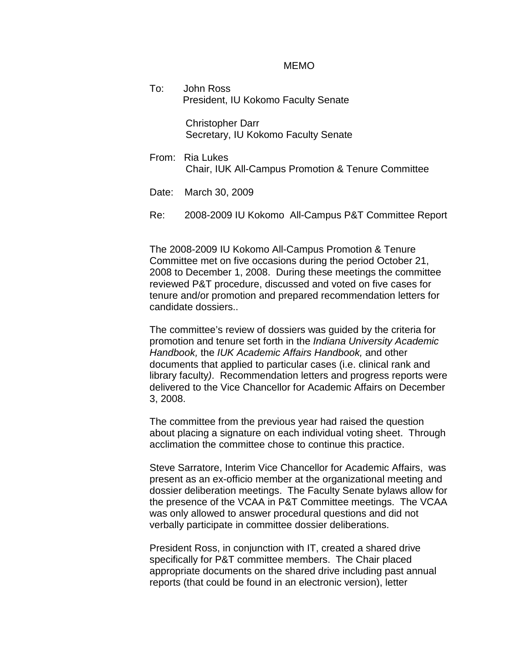## MEMO

To: John Ross President, IU Kokomo Faculty Senate

> Christopher Darr Secretary, IU Kokomo Faculty Senate

- From: Ria Lukes Chair, IUK All-Campus Promotion & Tenure Committee
- Date: March 30, 2009
- Re: 2008-2009 IU Kokomo All-Campus P&T Committee Report

The 2008-2009 IU Kokomo All-Campus Promotion & Tenure Committee met on five occasions during the period October 21, 2008 to December 1, 2008. During these meetings the committee reviewed P&T procedure, discussed and voted on five cases for tenure and/or promotion and prepared recommendation letters for candidate dossiers..

The committee's review of dossiers was guided by the criteria for promotion and tenure set forth in the *Indiana University Academic Handbook,* the *IUK Academic Affairs Handbook,* and other documents that applied to particular cases (i.e. clinical rank and library faculty*)*. Recommendation letters and progress reports were delivered to the Vice Chancellor for Academic Affairs on December 3, 2008.

The committee from the previous year had raised the question about placing a signature on each individual voting sheet. Through acclimation the committee chose to continue this practice.

Steve Sarratore, Interim Vice Chancellor for Academic Affairs, was present as an ex-officio member at the organizational meeting and dossier deliberation meetings. The Faculty Senate bylaws allow for the presence of the VCAA in P&T Committee meetings. The VCAA was only allowed to answer procedural questions and did not verbally participate in committee dossier deliberations.

President Ross, in conjunction with IT, created a shared drive specifically for P&T committee members. The Chair placed appropriate documents on the shared drive including past annual reports (that could be found in an electronic version), letter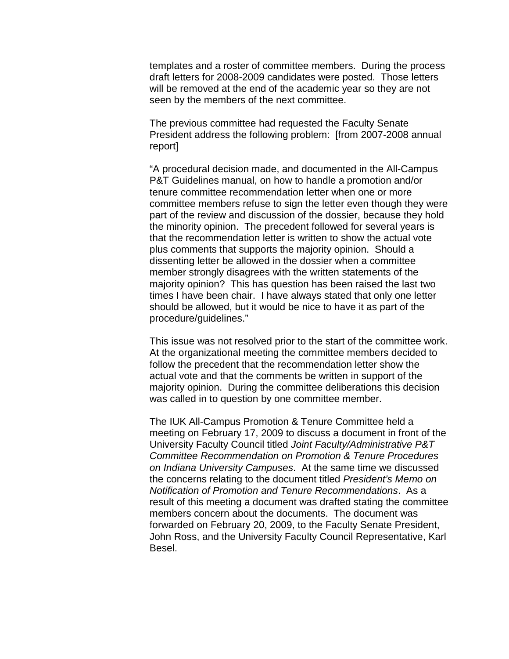templates and a roster of committee members. During the process draft letters for 2008-2009 candidates were posted. Those letters will be removed at the end of the academic year so they are not seen by the members of the next committee.

The previous committee had requested the Faculty Senate President address the following problem: [from 2007-2008 annual report]

"A procedural decision made, and documented in the All-Campus P&T Guidelines manual, on how to handle a promotion and/or tenure committee recommendation letter when one or more committee members refuse to sign the letter even though they were part of the review and discussion of the dossier, because they hold the minority opinion. The precedent followed for several years is that the recommendation letter is written to show the actual vote plus comments that supports the majority opinion. Should a dissenting letter be allowed in the dossier when a committee member strongly disagrees with the written statements of the majority opinion? This has question has been raised the last two times I have been chair. I have always stated that only one letter should be allowed, but it would be nice to have it as part of the procedure/guidelines."

This issue was not resolved prior to the start of the committee work. At the organizational meeting the committee members decided to follow the precedent that the recommendation letter show the actual vote and that the comments be written in support of the majority opinion. During the committee deliberations this decision was called in to question by one committee member.

The IUK All-Campus Promotion & Tenure Committee held a meeting on February 17, 2009 to discuss a document in front of the University Faculty Council titled *Joint Faculty/Administrative P&T Committee Recommendation on Promotion & Tenure Procedures on Indiana University Campuses*. At the same time we discussed the concerns relating to the document titled *President's Memo on Notification of Promotion and Tenure Recommendations*. As a result of this meeting a document was drafted stating the committee members concern about the documents. The document was forwarded on February 20, 2009, to the Faculty Senate President, John Ross, and the University Faculty Council Representative, Karl Besel.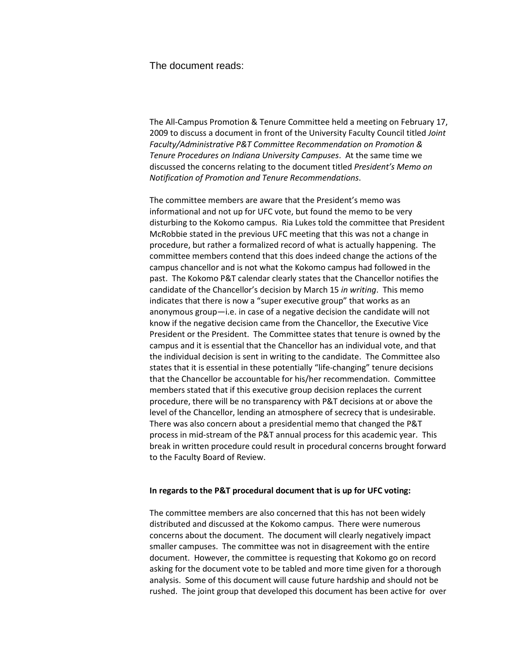The document reads:

The All-Campus Promotion & Tenure Committee held a meeting on February 17, 2009 to discuss a document in front of the University Faculty Council titled *Joint Faculty/Administrative P&T Committee Recommendation on Promotion & Tenure Procedures on Indiana University Campuses*. At the same time we discussed the concerns relating to the document titled *President's Memo on Notification of Promotion and Tenure Recommendations*.

The committee members are aware that the President's memo was informational and not up for UFC vote, but found the memo to be very disturbing to the Kokomo campus. Ria Lukes told the committee that President McRobbie stated in the previous UFC meeting that this was not a change in procedure, but rather a formalized record of what is actually happening. The committee members contend that this does indeed change the actions of the campus chancellor and is not what the Kokomo campus had followed in the past. The Kokomo P&T calendar clearly states that the Chancellor notifies the candidate of the Chancellor's decision by March 15 *in writing*. This memo indicates that there is now a "super executive group" that works as an anonymous group—i.e. in case of a negative decision the candidate will not know if the negative decision came from the Chancellor, the Executive Vice President or the President. The Committee states that tenure is owned by the campus and it is essential that the Chancellor has an individual vote, and that the individual decision is sent in writing to the candidate. The Committee also states that it is essential in these potentially "life-changing" tenure decisions that the Chancellor be accountable for his/her recommendation. Committee members stated that if this executive group decision replaces the current procedure, there will be no transparency with P&T decisions at or above the level of the Chancellor, lending an atmosphere of secrecy that is undesirable. There was also concern about a presidential memo that changed the P&T process in mid-stream of the P&T annual process for this academic year. This break in written procedure could result in procedural concerns brought forward to the Faculty Board of Review.

## **In regards to the P&T procedural document that is up for UFC voting:**

The committee members are also concerned that this has not been widely distributed and discussed at the Kokomo campus. There were numerous concerns about the document. The document will clearly negatively impact smaller campuses. The committee was not in disagreement with the entire document. However, the committee is requesting that Kokomo go on record asking for the document vote to be tabled and more time given for a thorough analysis. Some of this document will cause future hardship and should not be rushed. The joint group that developed this document has been active for over